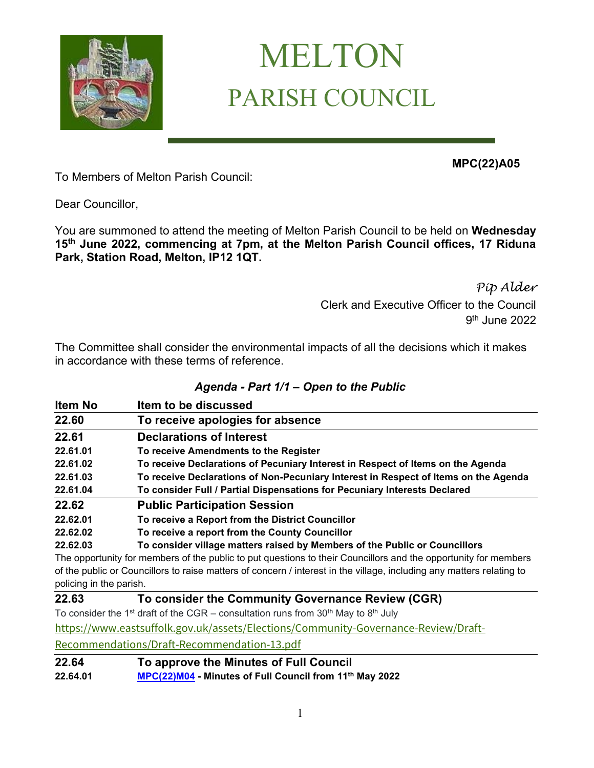

# MELTON PARISH COUNCIL

**MPC(22)A05**

To Members of Melton Parish Council:

Dear Councillor,

You are summoned to attend the meeting of Melton Parish Council to be held on **Wednesday 15 th June 2022, commencing at 7pm, at the Melton Parish Council offices, 17 Riduna Park, Station Road, Melton, IP12 1QT.** 

> *Pip Alder* Clerk and Executive Officer to the Council 9 th June 2022

The Committee shall consider the environmental impacts of all the decisions which it makes in accordance with these terms of reference.

#### *Agenda - Part 1/1 – Open to the Public*

| <b>Item No</b>          | Item to be discussed                                                                                                  |
|-------------------------|-----------------------------------------------------------------------------------------------------------------------|
| 22.60                   | To receive apologies for absence                                                                                      |
| 22.61                   | <b>Declarations of Interest</b>                                                                                       |
| 22.61.01                | To receive Amendments to the Register                                                                                 |
| 22.61.02                | To receive Declarations of Pecuniary Interest in Respect of Items on the Agenda                                       |
| 22.61.03                | To receive Declarations of Non-Pecuniary Interest in Respect of Items on the Agenda                                   |
| 22.61.04                | To consider Full / Partial Dispensations for Pecuniary Interests Declared                                             |
| 22.62                   | <b>Public Participation Session</b>                                                                                   |
| 22.62.01                | To receive a Report from the District Councillor                                                                      |
| 22.62.02                | To receive a report from the County Councillor                                                                        |
| 22.62.03                | To consider village matters raised by Members of the Public or Councillors                                            |
|                         | The opportunity for members of the public to put questions to their Councillors and the opportunity for members       |
| policing in the parish. | of the public or Councillors to raise matters of concern / interest in the village, including any matters relating to |

#### **22.63 To consider the Community Governance Review (CGR)**

To consider the 1<sup>st</sup> draft of the CGR – consultation runs from  $30<sup>th</sup>$  May to  $8<sup>th</sup>$  July

[https://www.eastsuffolk.gov.uk/assets/Elections/Community-Governance-Review/Draft-](https://www.eastsuffolk.gov.uk/assets/Elections/Community-Governance-Review/Draft-Recommendations/Draft-Recommendation-13.pdf)

[Recommendations/Draft-Recommendation-13.pdf](https://www.eastsuffolk.gov.uk/assets/Elections/Community-Governance-Review/Draft-Recommendations/Draft-Recommendation-13.pdf)

### **22.64 To approve the Minutes of Full Council**

**22.64.01 [MPC\(22\)M04](https://melton-suffolk-pc.gov.uk/documents/mpc22m04/) - Minutes of Full Council from 11th May 2022**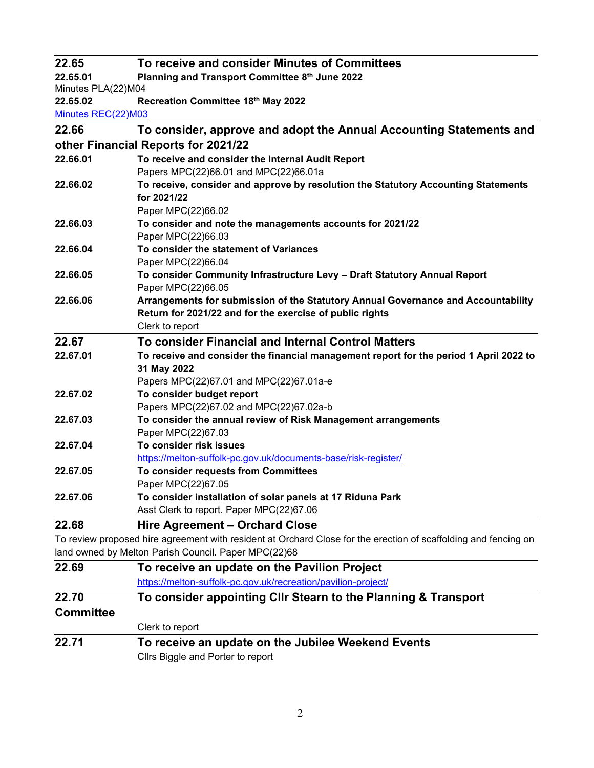| 22.65                          | To receive and consider Minutes of Committees                                                                   |
|--------------------------------|-----------------------------------------------------------------------------------------------------------------|
| 22.65.01<br>Minutes PLA(22)M04 | Planning and Transport Committee 8th June 2022                                                                  |
| 22.65.02                       | Recreation Committee 18th May 2022                                                                              |
| Minutes REC(22)M03             |                                                                                                                 |
| 22.66                          | To consider, approve and adopt the Annual Accounting Statements and                                             |
|                                | other Financial Reports for 2021/22                                                                             |
| 22.66.01                       | To receive and consider the Internal Audit Report                                                               |
|                                | Papers MPC(22)66.01 and MPC(22)66.01a                                                                           |
| 22.66.02                       | To receive, consider and approve by resolution the Statutory Accounting Statements<br>for 2021/22               |
|                                | Paper MPC(22)66.02                                                                                              |
| 22.66.03                       | To consider and note the managements accounts for 2021/22                                                       |
|                                | Paper MPC(22)66.03                                                                                              |
| 22.66.04                       | To consider the statement of Variances                                                                          |
|                                | Paper MPC(22)66.04                                                                                              |
| 22.66.05                       | To consider Community Infrastructure Levy - Draft Statutory Annual Report<br>Paper MPC(22)66.05                 |
| 22.66.06                       | Arrangements for submission of the Statutory Annual Governance and Accountability                               |
|                                | Return for 2021/22 and for the exercise of public rights                                                        |
|                                | Clerk to report                                                                                                 |
| 22.67                          | To consider Financial and Internal Control Matters                                                              |
| 22.67.01                       | To receive and consider the financial management report for the period 1 April 2022 to                          |
|                                | 31 May 2022                                                                                                     |
|                                | Papers MPC(22)67.01 and MPC(22)67.01a-e                                                                         |
| 22.67.02                       | To consider budget report                                                                                       |
|                                | Papers MPC(22)67.02 and MPC(22)67.02a-b                                                                         |
| 22.67.03                       | To consider the annual review of Risk Management arrangements                                                   |
|                                | Paper MPC(22)67.03                                                                                              |
| 22.67.04                       | To consider risk issues                                                                                         |
|                                | https://melton-suffolk-pc.gov.uk/documents-base/risk-register/                                                  |
| 22.67.05                       | To consider requests from Committees                                                                            |
|                                | Paper MPC(22)67.05                                                                                              |
| 22.67.06                       | To consider installation of solar panels at 17 Riduna Park<br>Asst Clerk to report. Paper MPC(22)67.06          |
| 22.68                          | <b>Hire Agreement - Orchard Close</b>                                                                           |
|                                | To review proposed hire agreement with resident at Orchard Close for the erection of scaffolding and fencing on |
|                                | land owned by Melton Parish Council. Paper MPC(22)68                                                            |
| 22.69                          | To receive an update on the Pavilion Project                                                                    |
|                                | https://melton-suffolk-pc.gov.uk/recreation/pavilion-project/                                                   |
| 22.70                          | To consider appointing CIIr Stearn to the Planning & Transport                                                  |
| <b>Committee</b>               |                                                                                                                 |
|                                | Clerk to report                                                                                                 |
| 22.71                          | To receive an update on the Jubilee Weekend Events                                                              |
|                                | Clim Diagle and Darter to report                                                                                |

Cllrs Biggle and Porter to report